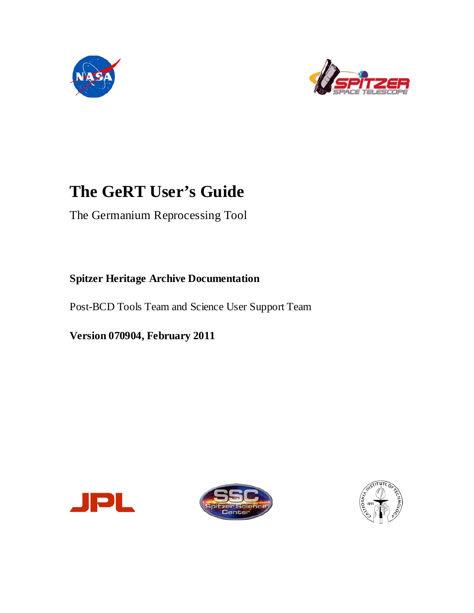



# **The GeRT User's Guide**

The Germanium Reprocessing Tool

# **Spitzer Heritage Archive Documentation**

Post-BCD Tools Team and Science User Support Team

**Version 070904, February 2011**





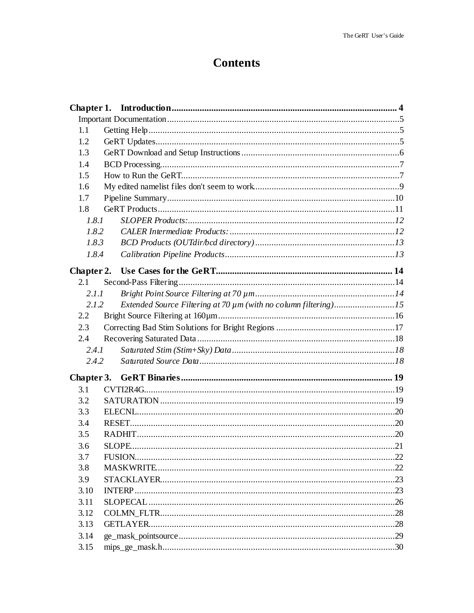# **Contents**

| Chapter 1. |                                                                 |  |
|------------|-----------------------------------------------------------------|--|
|            |                                                                 |  |
| 1.1        |                                                                 |  |
| 1.2        |                                                                 |  |
| 1.3        |                                                                 |  |
| 1.4        |                                                                 |  |
| 1.5        |                                                                 |  |
| 1.6        |                                                                 |  |
| 1.7        |                                                                 |  |
| 1.8        |                                                                 |  |
| 1.8.1      |                                                                 |  |
| 1.8.2      |                                                                 |  |
| 1.8.3      |                                                                 |  |
| 1.8.4      |                                                                 |  |
|            |                                                                 |  |
| 2.1        |                                                                 |  |
| 2.1.1      |                                                                 |  |
| 2.1.2      | Extended Source Filtering at 70 µm (with no column filtering)15 |  |
| $2.2\,$    |                                                                 |  |
| 2.3        |                                                                 |  |
| 2.4        |                                                                 |  |
| 2.4.1      |                                                                 |  |
| 2.4.2      |                                                                 |  |
|            |                                                                 |  |
| Chapter 3. |                                                                 |  |
| 3.1        |                                                                 |  |
| 3.2        |                                                                 |  |
| 3.3        |                                                                 |  |
| 3.4        |                                                                 |  |
| 3.5        |                                                                 |  |
| 3.6        |                                                                 |  |
| 3.7        |                                                                 |  |
| 3.8        |                                                                 |  |
| 3.9        |                                                                 |  |
| 3.10       |                                                                 |  |
| 3.11       |                                                                 |  |
| 3.12       |                                                                 |  |
| 3.13       |                                                                 |  |
| 3.14       |                                                                 |  |
| 3.15       |                                                                 |  |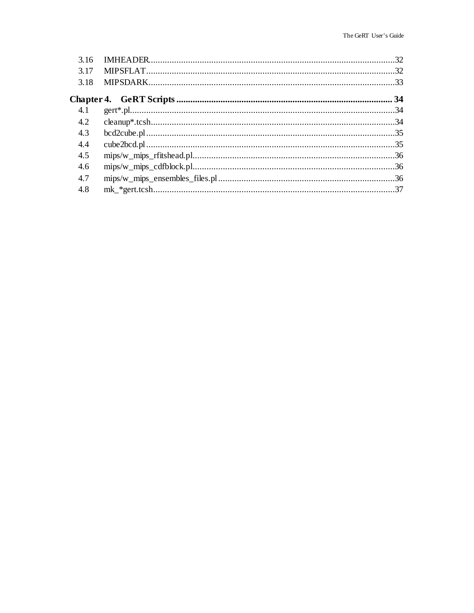| 3.16 |  |
|------|--|
| 3.17 |  |
| 3.18 |  |
|      |  |
| 4.1  |  |
| 4.2  |  |
| 4.3  |  |
| 4.4  |  |
| 4.5  |  |
| 4.6  |  |
| 4.7  |  |
| 4.8  |  |
|      |  |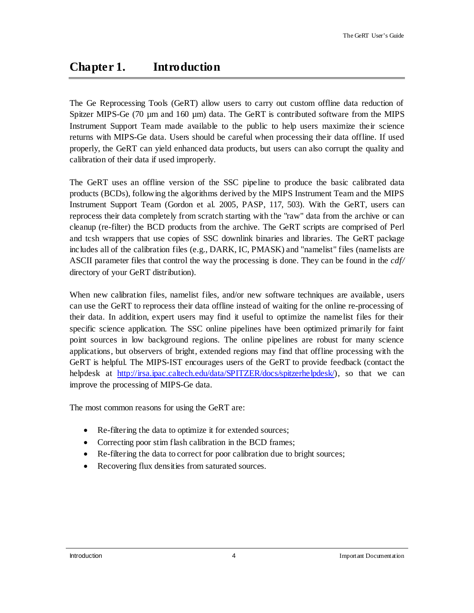<span id="page-3-0"></span>The Ge Reprocessing Tools (GeRT) allow users to carry out custom offline data reduction of Spitzer MIPS-Ge (70 µm and 160 µm) data. The GeRT is contributed software from the MIPS Instrument Support Team made available to the public to help users maximize their science returns with MIPS-Ge data. Users should be careful when processing their data offline. If used properly, the GeRT can yield enhanced data products, but users can also corrupt the quality and calibration of their data if used improperly.

The GeRT uses an offline version of the SSC pipeline to produce the basic calibrated data products (BCDs), following the algorithms derived by the MIPS Instrument Team and the MIPS Instrument Support Team (Gordon et al. 2005, PASP, 117, 503). With the GeRT, users can reprocess their data completely from scratch starting with the "raw" data from the archive or can cleanup (re-filter) the BCD products from the archive. The GeRT scripts are comprised of Perl and tcsh wrappers that use copies of SSC downlink binaries and libraries. The GeRT package includes all of the calibration files (e.g., DARK, IC, PMASK) and "namelist" files (namelists are ASCII parameter files that control the way the processing is done. They can be found in the *cdf/* directory of your GeRT distribution).

When new calibration files, namelist files, and/or new software techniques are available, users can use the GeRT to reprocess their data offline instead of waiting for the online re-processing of their data. In addition, expert users may find it useful to optimize the namelist files for their specific science application. The SSC online pipelines have been optimized primarily for faint point sources in low background regions. The online pipelines are robust for many science applications, but observers of bright, extended regions may find that offline processing with the GeRT is helpful. The MIPS-IST encourages users of the GeRT to provide feedback (contact the helpdesk at [http://irsa.ipac.caltech.edu/data/SPITZER/docs/spitzerhelpdesk/\)](http://irsa.ipac.caltech.edu/data/SPITZER/docs/spitzerhelpdesk/), so that we can improve the processing of MIPS-Ge data.

The most common reasons for using the GeRT are:

- Re-filtering the data to optimize it for extended sources;
- Correcting poor stim flash calibration in the BCD frames;
- Re-filtering the data to correct for poor calibration due to bright sources;
- Recovering flux densities from saturated sources.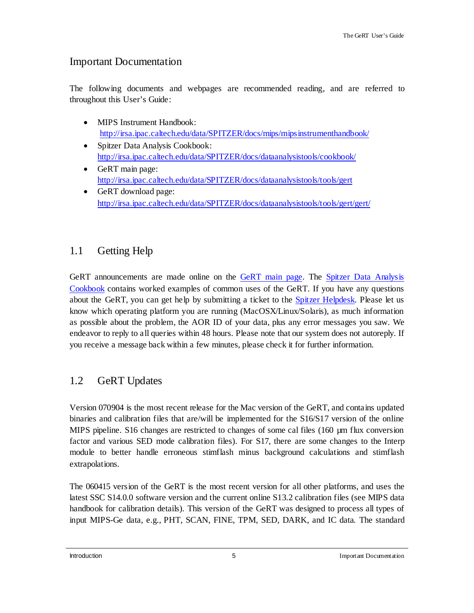### <span id="page-4-0"></span>Important Documentation

The following documents and webpages are recommended reading, and are referred to throughout this User's Guide:

- MIPS Instrument Handbook: <http://irsa.ipac.caltech.edu/data/SPITZER/docs/mips/mipsinstrumenthandbook/>
- Spitzer Data Analysis Cookbook: <http://irsa.ipac.caltech.edu/data/SPITZER/docs/dataanalysistools/cookbook/>
- GeRT main page: <http://irsa.ipac.caltech.edu/data/SPITZER/docs/dataanalysistools/tools/gert>
- GeRT download page: <http://irsa.ipac.caltech.edu/data/SPITZER/docs/dataanalysistools/tools/gert/gert/>

# <span id="page-4-1"></span>1.1 Getting Help

GeRT announcements are made online on the [GeRT main page.](http://irsa.ipac.caltech.edu/data/SPITZER/docs/dataanalysistools/tools/gert) The [Spitzer Data Analysis](http://irsa.ipac.caltech.edu/data/SPITZER/docs/dataanalysistools/cookbook/)  [Cookbook](http://irsa.ipac.caltech.edu/data/SPITZER/docs/dataanalysistools/cookbook/) contains worked examples of common uses of the GeRT. If you have any questions about the GeRT, you can get help by submitting a ticket to the [Spitzer Helpdesk.](http://irsa.ipac.caltech.edu/data/SPITZER/docs/spitzerhelpdesk/) Please let us know which operating platform you are running (MacOSX/Linux/Solaris), as much information as possible about the problem, the AOR ID of your data, plus any error messages you saw. We endeavor to reply to all queries within 48 hours. Please note that our system does not autoreply. If you receive a message back within a few minutes, please check it for further information.

# <span id="page-4-2"></span>1.2 GeRT Updates

Version 070904 is the most recent release for the Mac version of the GeRT, and contains updated binaries and calibration files that are/will be implemented for the S16/S17 version of the online MIPS pipeline. S16 changes are restricted to changes of some cal files (160 µm flux conversion factor and various SED mode calibration files). For S17, there are some changes to the Interp module to better handle erroneous stimflash minus background calculations and stimflash extrapolations.

The 060415 version of the GeRT is the most recent version for all other platforms, and uses the latest SSC S14.0.0 software version and the current online S13.2 calibration files (see MIPS data handbook for calibration details). This version of the GeRT was designed to process all types of input MIPS-Ge data, e.g., PHT, SCAN, FINE, TPM, SED, DARK, and IC data. The standard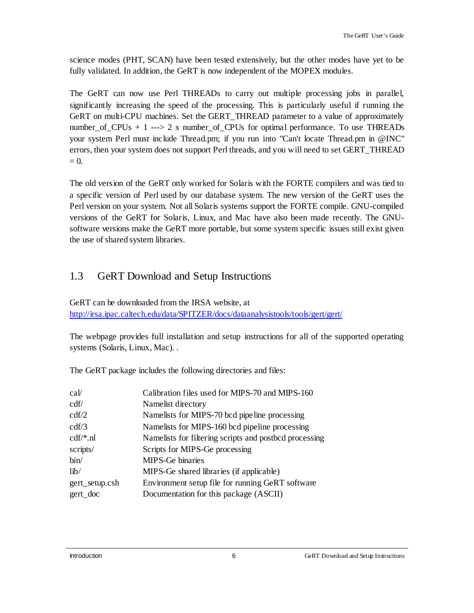science modes (PHT, SCAN) have been tested extensively, but the other modes have yet to be fully validated. In addition, the GeRT is now independent of the MOPEX modules.

The GeRT can now use Perl THREADs to carry out multiple processing jobs in parallel, significantly increasing the speed of the processing. This is particularly useful if running the GeRT on multi-CPU machines. Set the GERT THREAD parameter to a value of approximately number\_of\_CPUs + 1 ---> 2 x number\_of\_CPUs for optimal performance. To use THREADs your system Perl must include Thread.pm; if you run into "Can't locate Thread.pm in @INC" errors, then your system does not support Perl threads, and you will need to set GERT\_THREAD  $= 0.$ 

The old version of the GeRT only worked for Solaris with the FORTE compilers and was tied to a specific version of Perl used by our database system. The new version of the GeRT uses the Perl version on your system. Not all Solaris systems support the FORTE compile. GNU-compiled versions of the GeRT for Solaris, Linux, and Mac have also been made recently. The GNUsoftware versions make the GeRT more portable, but some system specific issues still exist given the use of shared system libraries.

# <span id="page-5-0"></span>1.3 GeRT Download and Setup Instructions

GeRT can be downloaded from the IRSA website, at <http://irsa.ipac.caltech.edu/data/SPITZER/docs/dataanalysistools/tools/gert/gert/>

The webpage provides full installation and setup instructions for all of the supported operating systems (Solaris, Linux, Mac). .

The GeRT package includes the following directories and files:

| cal            | Calibration files used for MIPS-70 and MIPS-160        |
|----------------|--------------------------------------------------------|
| cdf/           | Namelist directory                                     |
| $\text{cdf}/2$ | Namelists for MIPS-70 bcd pipeline processing          |
| cdf/3          | Namelists for MIPS-160 bcd pipeline processing         |
| $cdf/*.nl$     | Namelists for filtering scripts and postbcd processing |
| scripts/       | Scripts for MIPS-Ge processing                         |
| bin/           | <b>MIPS-Ge binaries</b>                                |
| lib/           | MIPS-Ge shared libraries (if applicable)               |
| gert_setup.csh | Environment setup file for running GeRT software       |
| gert_doc       | Documentation for this package (ASCII)                 |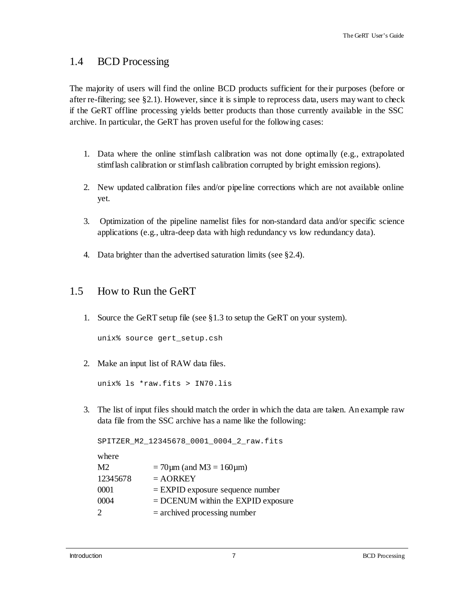### <span id="page-6-0"></span>1.4 BCD Processing

The majority of users will find the online BCD products sufficient for their purposes (before or after re-filtering; see [§2.1\)](#page-13-1). However, since it is simple to reprocess data, users may want to check if the GeRT offline processing yields better products than those currently available in the SSC archive. In particular, the GeRT has proven useful for the following cases:

- 1. Data where the online stimflash calibration was not done optimally (e.g., extrapolated stimflash calibration or stimflash calibration corrupted by bright emission regions).
- 2. New updated calibration files and/or pipeline corrections which are not available online yet.
- 3. Optimization of the pipeline namelist files for non-standard data and/or specific science applications (e.g., ultra-deep data with high redundancy vs low redundancy data).
- 4. Data brighter than the advertised saturation limits (see [§2.4\)](#page-17-0).

### <span id="page-6-1"></span>1.5 How to Run the GeRT

1. Source the GeRT setup file (see [§1.3](#page-5-0) to setup the GeRT on your system).

unix% source gert\_setup.csh

2. Make an input list of RAW data files.

unix% ls \*raw.fits > IN70.lis

3. The list of input files should match the order in which the data are taken. An example raw data file from the SSC archive has a name like the following:

SPITZER\_M2\_12345678\_0001\_0004\_2\_raw.fits

| where          |                                      |
|----------------|--------------------------------------|
| M <sub>2</sub> | $= 70 \mu m$ (and M3 = 160 $\mu$ m)  |
| 12345678       | $= AORKEY$                           |
| 0001           | $=$ EXPID exposure sequence number   |
| 0004           | $=$ DCENUM within the EXPID exposure |
| 2              | $=$ archived processing number       |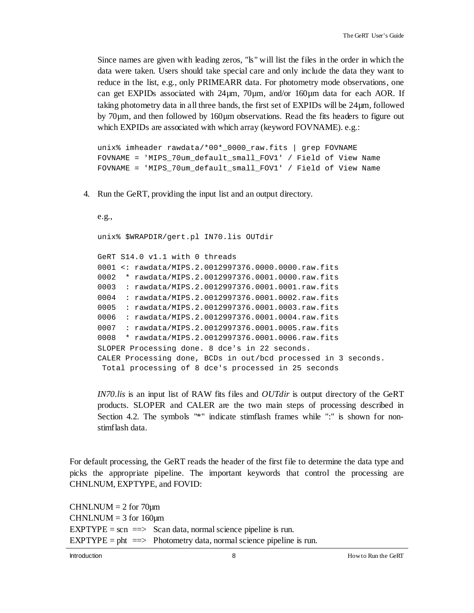Since names are given with leading zeros, "ls" will list the files in the order in which the data were taken. Users should take special care and only include the data they want to reduce in the list, e.g., only PRIMEARR data. For photometry mode observations, one can get EXPIDs associated with 24µm, 70µm, and/or 160µm data for each AOR. If taking photometry data in all three bands, the first set of EXPIDs will be 24µm, followed by 70µm, and then followed by 160µm observations. Read the fits headers to figure out which EXPIDs are associated with which array (keyword FOVNAME). e.g.:

unix% imheader rawdata/\*00\*\_0000\_raw.fits | grep FOVNAME FOVNAME = 'MIPS\_70um\_default\_small\_FOV1' / Field of View Name FOVNAME = 'MIPS\_70um\_default\_small\_FOV1' / Field of View Name

4. Run the GeRT, providing the input list and an output directory.

```
e.g., 
unix% $WRAPDIR/gert.pl IN70.lis OUTdir
GeRT S14.0 v1.1 with 0 threads
0001 <: rawdata/MIPS.2.0012997376.0000.0000.raw.fits
0002 * rawdata/MIPS.2.0012997376.0001.0000.raw.fits
0003 : rawdata/MIPS.2.0012997376.0001.0001.raw.fits
0004 : rawdata/MIPS.2.0012997376.0001.0002.raw.fits
0005 : rawdata/MIPS.2.0012997376.0001.0003.raw.fits
0006 : rawdata/MIPS.2.0012997376.0001.0004.raw.fits
0007 : rawdata/MIPS.2.0012997376.0001.0005.raw.fits
0008 * rawdata/MIPS.2.0012997376.0001.0006.raw.fits
SLOPER Processing done. 8 dce's in 22 seconds.
CALER Processing done, BCDs in out/bcd processed in 3 seconds.
 Total processing of 8 dce's processed in 25 seconds
```
*IN70.lis* is an input list of RAW fits files and *OUTdir* is output directory of the GeRT products. SLOPER and CALER are the two main steps of processing described in Section 4.2. The symbols "\*" indicate stimflash frames while ":" is shown for nonstimflash data.

For default processing, the GeRT reads the header of the first file to determine the data type and picks the appropriate pipeline. The important keywords that control the processing are CHNLNUM, EXPTYPE, and FOVID:

 $CHNLNUM = 2$  for  $70 \mu m$  $CHNLNUM = 3$  for 160 $µm$  $EXPTYPE = \text{scn} \implies$  Scan data, normal science pipeline is run.  $EXPTYPE = \text{pht} \implies \text{Photometry data, normal science pipeline is run.}$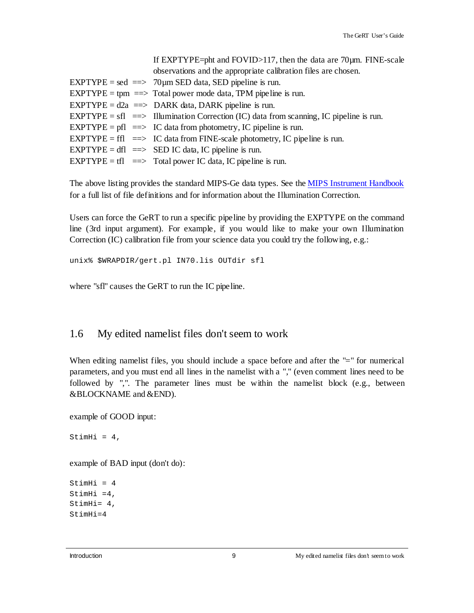| If EXPTYPE=pht and FOVID>117, then the data are 70 $\mu$ m. FINE-scale                               |
|------------------------------------------------------------------------------------------------------|
| observations and the appropriate calibration files are chosen.                                       |
| $EXPTYPE = sed \implies 70 \mu m$ SED data, SED pipeline is run.                                     |
| $EXPTYPE =$ tpm = $\gg$ Total power mode data, TPM pipeline is run.                                  |
| EXPTYPE = $d2a \implies DARK data$ , DARK pipeline is run.                                           |
| $EXPTYPE = sfl \implies \text{Illumination Correction (IC) data from scanning, IC pipeline is run.}$ |
| $EXPTYPE = pfl \implies IC$ data from photometry, IC pipeline is run.                                |
| $EXPTYPE = ff1 \implies IC$ data from FINE-scale photometry, IC pipe line is run.                    |
| $EXPTYPE = df1 \implies$ SED IC data, IC pipeline is run.                                            |
| $EXPTYPE = tf1 \implies Total power IC data, IC pipe line is run.$                                   |

The above listing provides the standard MIPS-Ge data types. See th[e MIPS Instrument Handbook](http://irsa.ipac.caltech.edu/data/SPITZER/docs/mips/mipsinstrumenthandbook/) for a full list of file definitions and for information about the Illumination Correction.

Users can force the GeRT to run a specific pipeline by providing the EXPTYPE on the command line (3rd input argument). For example, if you would like to make your own Illumination Correction (IC) calibration file from your science data you could try the following, e.g.:

unix% \$WRAPDIR/gert.pl IN70.lis OUTdir sfl

where "sfl" causes the GeRT to run the IC pipeline.

### <span id="page-8-0"></span>1.6 My edited namelist files don't seem to work

When editing namelist files, you should include a space before and after the "=" for numerical parameters, and you must end all lines in the namelist with a "," (even comment lines need to be followed by ",". The parameter lines must be within the namelist block (e.g., between &BLOCKNAME and &END).

example of GOOD input:

 $StimHi = 4$ ,

example of BAD input (don't do):

```
StimHi = 4
StimHi =4,
StimHi= 4,
StimHi=4
```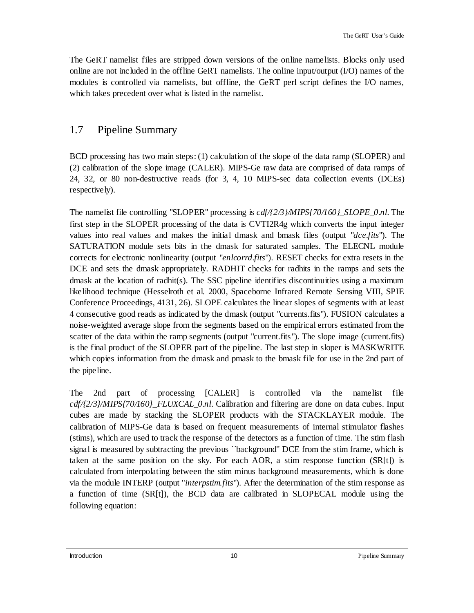The GeRT namelist files are stripped down versions of the online namelists. Blocks only used online are not included in the offline GeRT namelists. The online input/output (I/O) names of the modules is controlled via namelists, but offline, the GeRT perl script defines the I/O names, which takes precedent over what is listed in the namelist.

### <span id="page-9-0"></span>1.7 Pipeline Summary

BCD processing has two main steps: (1) calculation of the slope of the data ramp (SLOPER) and (2) calibration of the slope image (CALER). MIPS-Ge raw data are comprised of data ramps of 24, 32, or 80 non-destructive reads (for 3, 4, 10 MIPS-sec data collection events (DCEs) respectively).

The namelist file controlling "SLOPER" processing is *cdf/{2/3}/MIPS{70/160}\_SLOPE\_0.nl*. The first step in the SLOPER processing of the data is CVTI2R4g which converts the input integer values into real values and makes the initial dmask and bmask files (output "*dce.fits*"). The SATURATION module sets bits in the dmask for saturated samples. The ELECNL module corrects for electronic nonlinearity (output "*enlcorrd.fits*"). RESET checks for extra resets in the DCE and sets the dmask appropriately. RADHIT checks for radhits in the ramps and sets the dmask at the location of radhit(s). The SSC pipeline identifies discontinuities using a maximum likelihood technique (Hesselroth et al. 2000, Spaceborne Infrared Remote Sensing VIII, SPIE Conference Proceedings, 4131, 26). SLOPE calculates the linear slopes of segments with at least 4 consecutive good reads as indicated by the dmask (output "currents.fits"). FUSION calculates a noise-weighted average slope from the segments based on the empirical errors estimated from the scatter of the data within the ramp segments (output "current.fits"). The slope image (current.fits) is the final product of the SLOPER part of the pipeline. The last step in sloper is MASKWRITE which copies information from the dmask and pmask to the bmask file for use in the 2nd part of the pipeline.

The 2nd part of processing [CALER] is controlled via the namelist file *cdf/{2/3}/MIPS{70/160}\_FLUXCAL\_0.nl*. Calibration and filtering are done on data cubes. Input cubes are made by stacking the SLOPER products with the STACKLAYER module. The calibration of MIPS-Ge data is based on frequent measurements of internal stimulator flashes (stims), which are used to track the response of the detectors as a function of time. The stim flash signal is measured by subtracting the previous ``background'' DCE from the stim frame, which is taken at the same position on the sky. For each AOR, a stim response function  $(SR[t])$  is calculated from interpolating between the stim minus background measurements, which is done via the module INTERP (output "*interpstim.fits*"). After the determination of the stim response as a function of time (SR[t]), the BCD data are calibrated in SLOPECAL module using the following equation: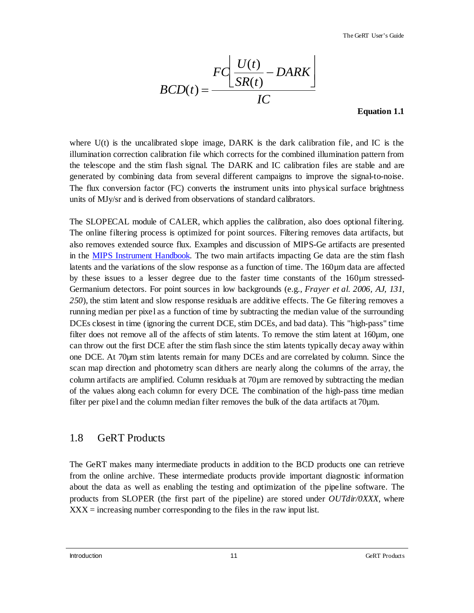$$
BCD(t) = \frac{FC\left(\frac{U(t)}{SR(t)} - DARK\right)}{IC}
$$

#### **Equation 1.1**

where  $U(t)$  is the uncalibrated slope image, DARK is the dark calibration file, and IC is the illumination correction calibration file which corrects for the combined illumination pattern from the telescope and the stim flash signal. The DARK and IC calibration files are stable and are generated by combining data from several different campaigns to improve the signal-to-noise. The flux conversion factor (FC) converts the instrument units into physical surface brightness units of MJy/sr and is derived from observations of standard calibrators.

The SLOPECAL module of CALER, which applies the calibration, also does optional filtering. The online filtering process is optimized for point sources. Filtering removes data artifacts, but also removes extended source flux. Examples and discussion of MIPS-Ge artifacts are presented in the [MIPS Instrument Handbook.](http://irsa.ipac.caltech.edu/data/SPITZER/docs/mips/mipsinstrumenthandbook/) The two main artifacts impacting Ge data are the stim flash latents and the variations of the slow response as a function of time. The 160µm data are affected by these issues to a lesser degree due to the faster time constants of the 160µm stressed-Germanium detectors. For point sources in low backgrounds (e.g., *Frayer et al. 2006, AJ, 131, 250*), the stim latent and slow response residuals are additive effects. The Ge filtering removes a running median per pixel as a function of time by subtracting the median value of the surrounding DCEs closest in time (ignoring the current DCE, stim DCEs, and bad data). This "high-pass" time filter does not remove all of the affects of stim latents. To remove the stim latent at 160µm, one can throw out the first DCE after the stim flash since the stim latents typically decay away within one DCE. At 70µm stim latents remain for many DCEs and are correlated by column. Since the scan map direction and photometry scan dithers are nearly along the columns of the array, the column artifacts are amplified. Column residuals at 70µm are removed by subtracting the median of the values along each column for every DCE. The combination of the high-pass time median filter per pixel and the column median filter removes the bulk of the data artifacts at 70µm.

### <span id="page-10-0"></span>1.8 GeRT Products

The GeRT makes many intermediate products in addition to the BCD products one can retrieve from the online archive. These intermediate products provide important diagnostic information about the data as well as enabling the testing and optimization of the pipeline software. The products from SLOPER (the first part of the pipeline) are stored under *OUTdir/0XXX*, where  $XXX = increasing number corresponding to the files in the raw input list.$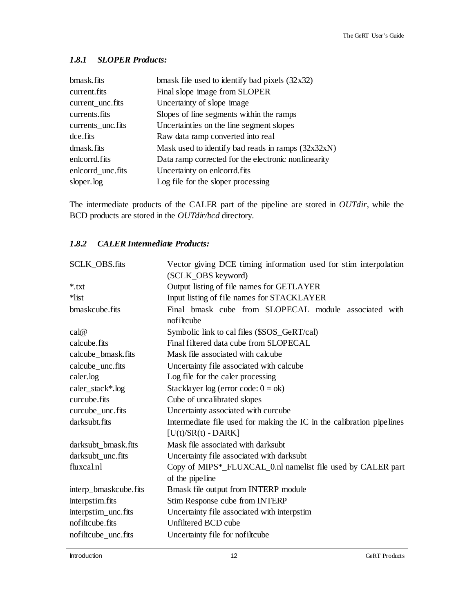#### <span id="page-11-0"></span>*1.8.1 SLOPER Products:*

| bmask.fits        | bmask file used to identify bad pixels $(32x32)$    |
|-------------------|-----------------------------------------------------|
| current.fits      | Final slope image from SLOPER                       |
| current_unc.fits  | Uncertainty of slope image                          |
| currents.fits     | Slopes of line segments within the ramps            |
| currents_unc.fits | Uncertainties on the line segment slopes            |
| dce.fits          | Raw data ramp converted into real                   |
| dmask.fits        | Mask used to identify bad reads in ramps (32x32xN)  |
| enlcorrd.fits     | Data ramp corrected for the electronic nonlinearity |
| enleorrd unc.fits | Uncertainty on enlcorrd.fits                        |
| sloper.log        | Log file for the sloper processing                  |

The intermediate products of the CALER part of the pipeline are stored in *OUTdir*, while the BCD products are stored in the *OUTdir/bcd* directory.

#### <span id="page-11-1"></span>*1.8.2 CALER Intermediate Products:*

| SCLK_OBS.fits                                                                          | Vector giving DCE timing information used for stim interpolation    |  |  |
|----------------------------------------------------------------------------------------|---------------------------------------------------------------------|--|--|
|                                                                                        | (SCLK_OBS keyword)                                                  |  |  |
| $*$ txt                                                                                | Output listing of file names for GETLAYER                           |  |  |
| *list                                                                                  | Input listing of file names for STACKLAYER                          |  |  |
| bmaskcube.fits                                                                         | Final bmask cube from SLOPECAL module associated with<br>nofiltcube |  |  |
| cal@                                                                                   | Symbolic link to cal files (\$SOS_GeRT/cal)                         |  |  |
| calcube.fits                                                                           | Final filtered data cube from SLOPECAL                              |  |  |
| calcube_bmask.fits                                                                     | Mask file associated with calcube                                   |  |  |
| calcube_unc.fits                                                                       | Uncertainty file associated with calcube                            |  |  |
| caler.log                                                                              | Log file for the caler processing                                   |  |  |
| caler_stack*.log                                                                       | Stacklayer log (error code: $0 = ok$ )                              |  |  |
| curcube.fits                                                                           | Cube of uncalibrated slopes                                         |  |  |
| curcube_unc.fits                                                                       | Uncertainty associated with curcube                                 |  |  |
| darksubt.fits<br>Intermediate file used for making the IC in the calibration pipelines |                                                                     |  |  |
|                                                                                        | $[U(t)/SR(t) - DARK]$                                               |  |  |
| darksubt_bmask.fits                                                                    | Mask file associated with darksubt                                  |  |  |
| darksubt_unc.fits                                                                      | Uncertainty file associated with darksubt                           |  |  |
| fluxcal.nl                                                                             | Copy of MIPS*_FLUXCAL_0.nl namelist file used by CALER part         |  |  |
|                                                                                        | of the pipe line                                                    |  |  |
| interp_bmaskcube.fits                                                                  | Bmask file output from INTERP module                                |  |  |
| interpstim.fits                                                                        | Stim Response cube from INTERP                                      |  |  |
| interpstim_unc.fits                                                                    | Uncertainty file associated with interpstim                         |  |  |
| nofiltcube.fits                                                                        | Unfiltered BCD cube                                                 |  |  |
| nofiltcube_unc.fits                                                                    | Uncertainty file for nofiltcube                                     |  |  |

**Introduction** GeRT Products **12** GeRT Products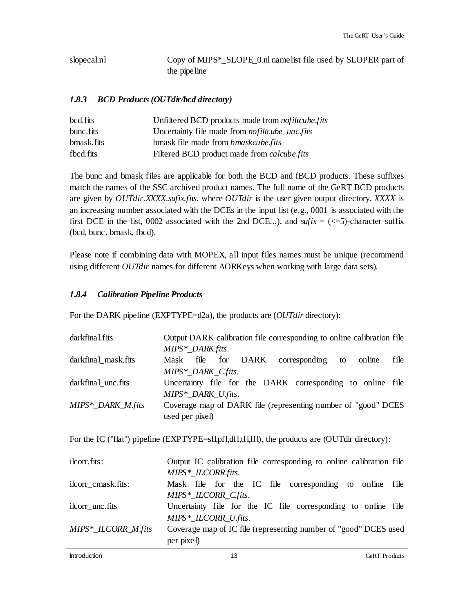| slopecal.nl | Copy of MIPS <sup>*</sup> SLOPE 0.nl name list file used by SLOPER part of |
|-------------|----------------------------------------------------------------------------|
|             | the pipe line                                                              |

#### <span id="page-12-0"></span>*1.8.3 BCD Products (OUTdir/bcd directory)*

| bcd.fits   | Unfiltered BCD products made from <i>nofiltcube.fits</i> |
|------------|----------------------------------------------------------|
| bunc.fits  | Uncertainty file made from <i>nofiltcube_unc.fits</i>    |
| bmask.fits | bmask file made from <i>bmaskcube.fits</i>               |
| fbcd.fits  | Filtered BCD product made from <i>calcube.fits</i>       |

The bunc and bmask files are applicable for both the BCD and fBCD products. These suffixes match the names of the SSC archived product names. The full name of the GeRT BCD products are given by *OUTdir.XXXX.sufix.fits*, where *OUTdir* is the user given output directory, *XXXX* is an increasing number associated with the DCEs in the input list (e.g., 0001 is associated with the first DCE in the list, 0002 associated with the 2nd DCE...), and  $\textit{suffix} = \langle \langle =5 \rangle$ -character suffix (bcd, bunc, bmask, fbcd).

Please note if combining data with MOPEX, all input files names must be unique (recommend using different *OUTdir* names for different AORKeys when working with large data sets).

#### <span id="page-12-1"></span>*1.8.4 Calibration Pipeline Products*

For the DARK pipeline (EXPTYPE=d2a), the products are (*OUTdir* directory):

| darkfinal.fits      | Output DARK calibration file corresponding to online calibration file |  |  |
|---------------------|-----------------------------------------------------------------------|--|--|
|                     | MIPS* DARK.fits.                                                      |  |  |
| darkfinal mask.fits | DARK<br>Mask file for<br>corresponding to<br>online<br>file           |  |  |
|                     | $MIPS^*$ _DARK_C.fits.                                                |  |  |
| darkfinal unc.fits  | Uncertainty file for the DARK corresponding to online file            |  |  |
|                     | MIPS* DARK U.fits.                                                    |  |  |
| MIPS*_DARK_M.fits   | Coverage map of DARK file (representing number of "good" DCES         |  |  |
|                     | used per pixel)                                                       |  |  |

For the IC ("flat") pipeline (EXPTYPE=sfl,pfl,dfl,tfl,ffl), the products are (OUTdir directory):

| ilcorr.fits:        | Output IC calibration file corresponding to online calibration file<br>MIPS* ILCORR.fits.            |  |
|---------------------|------------------------------------------------------------------------------------------------------|--|
| ilcorr_cmask.fits:  | Mask file for the IC file corresponding to online file<br>MIPS*_ILCORR_C.fits.                       |  |
| ilcorr_unc.fits     | Uncertainty file for the IC file corresponding to online file<br>$MIPS^*_{\_\_ILCORR_{\_\_U.fits.}}$ |  |
| MIPS*_ILCORR_M.fits | Coverage map of IC file (representing number of "good" DCES used<br>per pixel)                       |  |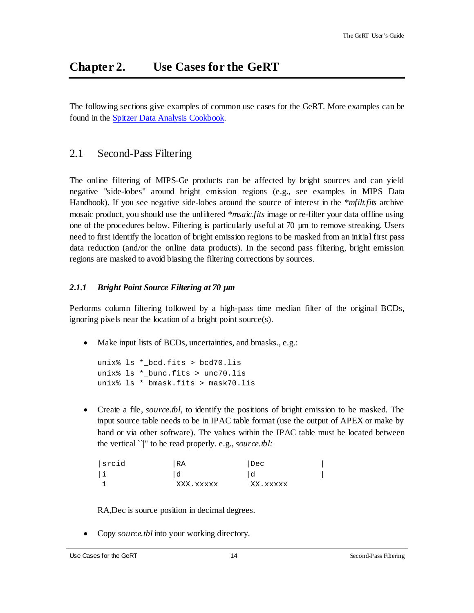### <span id="page-13-0"></span>**Chapter 2. Use Cases for the GeRT**

The following sections give examples of common use cases for the GeRT. More examples can be found in the [Spitzer Data Analysis Cookbook.](http://irsa.ipac.caltech.edu/data/SPITZER/docs/dataanalysistools/cookbook/)

### <span id="page-13-1"></span>2.1 Second-Pass Filtering

The online filtering of MIPS-Ge products can be affected by bright sources and can yield negative "side-lobes" around bright emission regions (e.g., see examples in MIPS Data Handbook). If you see negative side-lobes around the source of interest in the *\*mfilt.fits* archive mosaic product, you should use the unfiltered *\*msaic.fits* image or re-filter your data offline using one of the procedures below. Filtering is particularly useful at 70 µm to remove streaking. Users need to first identify the location of bright emission regions to be masked from an initial first pass data reduction (and/or the online data products). In the second pass filtering, bright emission regions are masked to avoid biasing the filtering corrections by sources.

#### <span id="page-13-2"></span>*2.1.1 Bright Point Source Filtering at 70 µm*

Performs column filtering followed by a high-pass time median filter of the original BCDs, ignoring pixels near the location of a bright point source(s).

• Make input lists of BCDs, uncertainties, and bmasks., e.g.:

```
unix% ls *_bcd.fits > bcd70.lis
unix% ls * bunc.fits > unc70.lis
unix% ls *_bmask.fits > mask70.lis
```
• Create a file, *source.tbl,* to identify the positions of bright emission to be masked. The input source table needs to be in IPAC table format (use the output of APEX or make by hand or via other software). The values within the IPAC table must be located between the vertical ``|'' to be read properly. e.g., *source.tbl:*

| srcid | `RA        | Dec       |
|-------|------------|-----------|
| Ιi    |            |           |
|       | XXX. xxxxx | XX. xxxxx |

RA,Dec is source position in decimal degrees.

• Copy *source.tbl* into your working directory.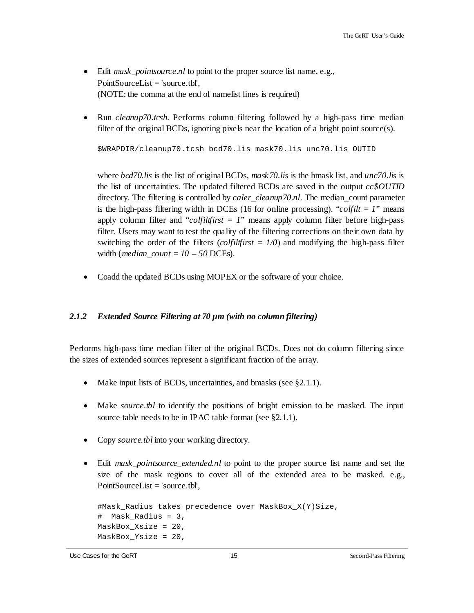- Edit *mask\_pointsource.nl* to point to the proper source list name, e.g., PointSourceList = 'source.tbl', (NOTE: the comma at the end of namelist lines is required)
- Run *cleanup70.tcsh*. Performs column filtering followed by a high-pass time median filter of the original BCDs, ignoring pixels near the location of a bright point source(s).

\$WRAPDIR/cleanup70.tcsh bcd70.lis mask70.lis unc70.lis OUTID

where *bcd70.lis* is the list of original BCDs, *mask70.lis* is the bmask list, and *unc70.lis* is the list of uncertainties. The updated filtered BCDs are saved in the output *cc\$OUTID* directory. The filtering is controlled by *caler\_cleanup70.nl*. The median\_count parameter is the high-pass filtering width in DCEs (16 for online processing). " $\text{coIf}$   $lt = 1$ " means apply column filter and "*colfiltfirst* =  $I$ " means apply column filter before high-pass filter. Users may want to test the quality of the filtering corrections on their own data by switching the order of the filters  $\left(\frac{colfillfirst}{r} = 1/0\right)$  and modifying the high-pass filter width (*median\_count = 10 -- 50* DCEs).

• Coadd the updated BCDs using MOPEX or the software of your choice.

#### <span id="page-14-0"></span>*2.1.2 Extended Source Filtering at 70 µm (with no column filtering)*

Performs high-pass time median filter of the original BCDs. Does not do column filtering since the sizes of extended sources represent a significant fraction of the array.

- Make input lists of BCDs, uncertainties, and bmasks (see [§2.1.1\)](#page-13-2).
- Make *source.tbl* to identify the positions of bright emission to be masked. The input source table needs to be in IPAC table format (see [§2.1.1\)](#page-13-2).
- Copy *source.tbl* into your working directory.
- Edit *mask\_pointsource\_extended.nl* to point to the proper source list name and set the size of the mask regions to cover all of the extended area to be masked. e.g., PointSourceList = 'source.tbl',

```
#Mask Radius takes precedence over MaskBox X(Y)Size,
# Mask_Radius = 3,
MaskBox_Xsize = 20,
MaskBox_Ysize = 20,
```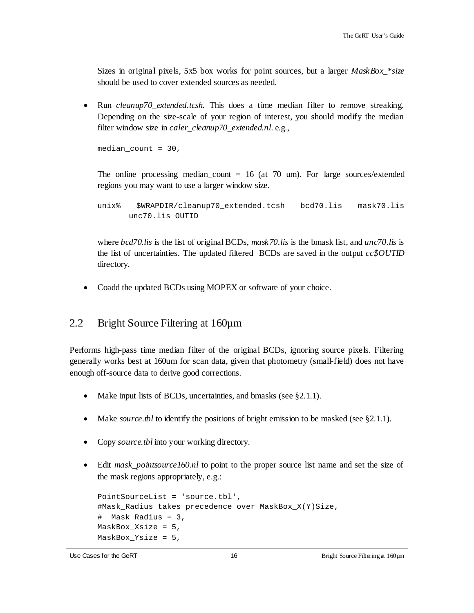Sizes in original pixels, 5x5 box works for point sources, but a larger *MaskBox\_\*size* should be used to cover extended sources as needed.

• Run *cleanup70\_extended.tcsh*. This does a time median filter to remove streaking. Depending on the size-scale of your region of interest, you should modify the median filter window size in *caler\_cleanup70\_extended.nl*. e.g.,

median\_count = 30,

The online processing median\_count  $= 16$  (at 70 um). For large sources/extended regions you may want to use a larger window size.

unix% \$WRAPDIR/cleanup70\_extended.tcsh bcd70.lis mask70.lis unc70.lis OUTID

where *bcd70.lis* is the list of original BCDs, *mask70.lis* is the bmask list, and *unc70.lis* is the list of uncertainties. The updated filtered BCDs are saved in the output *cc\$OUTID* directory.

• Coadd the updated BCDs using MOPEX or software of your choice.

### <span id="page-15-0"></span>2.2 Bright Source Filtering at 160µm

Performs high-pass time median filter of the original BCDs, ignoring source pixels. Filtering generally works best at 160um for scan data, given that photometry (small-field) does not have enough off-source data to derive good corrections.

- Make input lists of BCDs, uncertainties, and bmasks (see [§2.1.1\)](#page-13-2).
- Make *source.tbl* to identify the positions of bright emission to be masked (see [§2.1.1\)](#page-13-2).
- Copy *source.tbl* into your working directory.
- Edit *mask pointsource160.nl* to point to the proper source list name and set the size of the mask regions appropriately, e.g.:

```
PointSourceList = 'source.tbl', 
#Mask_Radius takes precedence over MaskBox_X(Y)Size,
# Mask_Radius = 3,
MaskBox_Xsize = 5,
MaskBox_Ysize = 5,
```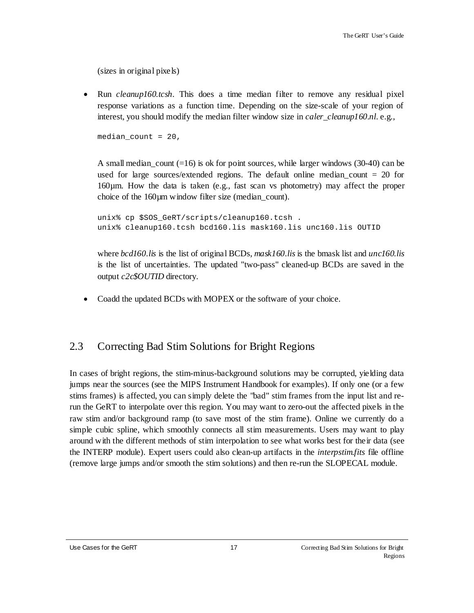(sizes in original pixels)

• Run *cleanup160.tcsh*. This does a time median filter to remove any residual pixel response variations as a function time. Depending on the size-scale of your region of interest, you should modify the median filter window size in *caler\_cleanup160.nl*. e.g.,

median count =  $20$ ,

A small median\_count (=16) is ok for point sources, while larger windows (30-40) can be used for large sources/extended regions. The default online median\_count  $= 20$  for 160µm. How the data is taken (e.g., fast scan vs photometry) may affect the proper choice of the 160µm window filter size (median\_count).

```
unix% cp $SOS_GeRT/scripts/cleanup160.tcsh .
unix% cleanup160.tcsh bcd160.lis mask160.lis unc160.lis OUTID
```
where *bcd160.lis* is the list of original BCDs, *mask160.lis* is the bmask list and *unc160.lis* is the list of uncertainties. The updated "two-pass" cleaned-up BCDs are saved in the output *c2c\$OUTID* directory.

• Coadd the updated BCDs with MOPEX or the software of your choice.

# <span id="page-16-0"></span>2.3 Correcting Bad Stim Solutions for Bright Regions

In cases of bright regions, the stim-minus-background solutions may be corrupted, yielding data jumps near the sources (see the MIPS Instrument Handbook for examples). If only one (or a few stims frames) is affected, you can simply delete the "bad" stim frames from the input list and rerun the GeRT to interpolate over this region. You may want to zero-out the affected pixels in the raw stim and/or background ramp (to save most of the stim frame). Online we currently do a simple cubic spline, which smoothly connects all stim measurements. Users may want to play around with the different methods of stim interpolation to see what works best for their data (see the INTERP module). Expert users could also clean-up artifacts in the *interpstim.fits* file offline (remove large jumps and/or smooth the stim solutions) and then re-run the SLOPECAL module.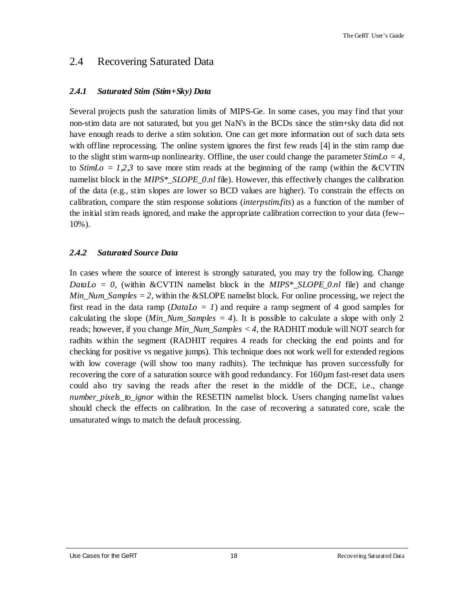### <span id="page-17-0"></span>2.4 Recovering Saturated Data

#### <span id="page-17-1"></span>*2.4.1 Saturated Stim (Stim+Sky) Data*

Several projects push the saturation limits of MIPS-Ge. In some cases, you may find that your non-stim data are not saturated, but you get NaN's in the BCDs since the stim+sky data did not have enough reads to derive a stim solution. One can get more information out of such data sets with offline reprocessing. The online system ignores the first few reads [4] in the stim ramp due to the slight stim warm-up nonlinearity. Offline, the user could change the parameter  $StimLo = 4$ , to *StimLo = 1,2,3* to save more stim reads at the beginning of the ramp (within the &CVTIN namelist block in the *MIPS<sup>\*</sup>* SLOPE 0.nl file). However, this effectively changes the calibration of the data (e.g., stim slopes are lower so BCD values are higher). To constrain the effects on calibration, compare the stim response solutions (*interpstim.fits*) as a function of the number of the initial stim reads ignored, and make the appropriate calibration correction to your data (few-- 10%).

#### <span id="page-17-2"></span>*2.4.2 Saturated Source Data*

In cases where the source of interest is strongly saturated, you may try the following. Change *DataLo = 0*, (within & CVTIN namelist block in the *MIPS\*\_SLOPE\_0.nl* file) and change *Min\_Num\_Samples = 2*, within the &SLOPE namelist block. For online processing, we reject the first read in the data ramp ( $DataLo = I$ ) and require a ramp segment of 4 good samples for calculating the slope (*Min Num Samples = 4*). It is possible to calculate a slope with only 2 reads; however, if you change *Min\_Num\_Samples < 4*, the RADHIT module will NOT search for radhits within the segment (RADHIT requires 4 reads for checking the end points and for checking for positive vs negative jumps). This technique does not work well for extended regions with low coverage (will show too many radhits). The technique has proven successfully for recovering the core of a saturation source with good redundancy. For 160µm fast-reset data users could also try saving the reads after the reset in the middle of the DCE, i.e., change *number\_pixels\_to\_ignor* within the RESETIN namelist block. Users changing namelist values should check the effects on calibration. In the case of recovering a saturated core, scale the unsaturated wings to match the default processing.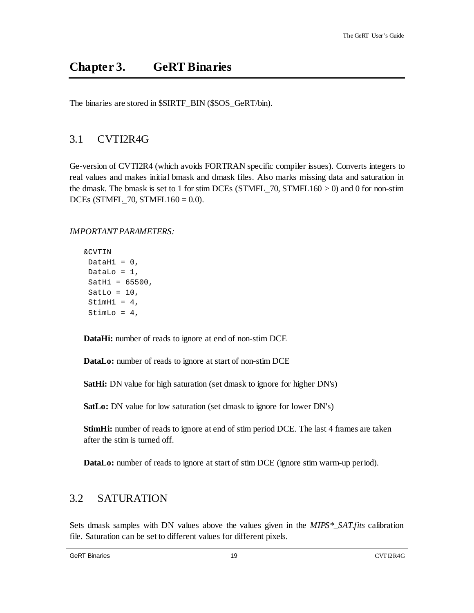# <span id="page-18-0"></span>**Chapter 3. GeRT Binaries**

The binaries are stored in \$SIRTF\_BIN (\$SOS\_GeRT/bin).

### <span id="page-18-1"></span>3.1 CVTI2R4G

Ge-version of CVTI2R4 (which avoids FORTRAN specific compiler issues). Converts integers to real values and makes initial bmask and dmask files. Also marks missing data and saturation in the dmask. The bmask is set to 1 for stim DCEs (STMFL\_70, STMFL160  $>$  0) and 0 for non-stim  $DCEs$  (STMFL\_70, STMFL160 = 0.0).

*IMPORTANT PARAMETERS:*

```
&CVTIN
DataHi = 0,
DataLo = 1,
SatHi = 65500,SatLo = 10,
StimHi = 4,
StimLo = 4,
```
**DataHi:** number of reads to ignore at end of non-stim DCE

**DataLo:** number of reads to ignore at start of non-stim DCE

**SatHi:** DN value for high saturation (set dmask to ignore for higher DN's)

**SatLo:** DN value for low saturation (set dmask to ignore for lower DN's)

**StimHi:** number of reads to ignore at end of stim period DCE. The last 4 frames are taken after the stim is turned off.

**DataLo:** number of reads to ignore at start of stim DCE (ignore stim warm-up period).

### <span id="page-18-2"></span>3.2 SATURATION

Sets dmask samples with DN values above the values given in the *MIPS\*\_SAT.fits* calibration file. Saturation can be set to different values for different pixels.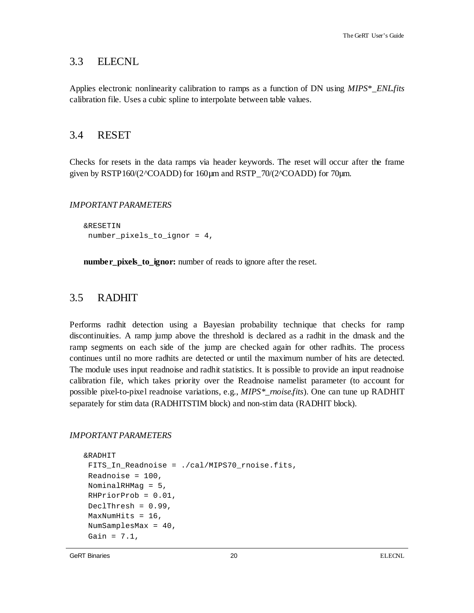### <span id="page-19-0"></span>3.3 ELECNL

Applies electronic nonlinearity calibration to ramps as a function of DN using *MIPS\*\_ENL.fits* calibration file. Uses a cubic spline to interpolate between table values.

### <span id="page-19-1"></span>3.4 RESET

Checks for resets in the data ramps via header keywords. The reset will occur after the frame given by RSTP160/(2^COADD) for 160µm and RSTP\_70/(2^COADD) for 70µm.

#### *IMPORTANT PARAMETERS*

```
&RESETIN
number_pixels_to_ignor = 4,
```
**number\_pixels\_to\_ignor:** number of reads to ignore after the reset.

### <span id="page-19-2"></span>3.5 RADHIT

Performs radhit detection using a Bayesian probability technique that checks for ramp discontinuities. A ramp jump above the threshold is declared as a radhit in the dmask and the ramp segments on each side of the jump are checked again for other radhits. The process continues until no more radhits are detected or until the maximum number of hits are detected. The module uses input readnoise and radhit statistics. It is possible to provide an input readnoise calibration file, which takes priority over the Readnoise namelist parameter (to account for possible pixel-to-pixel readnoise variations, e.g., *MIPS\*\_rnoise.fits*). One can tune up RADHIT separately for stim data (RADHITSTIM block) and non-stim data (RADHIT block).

#### *IMPORTANT PARAMETERS*

```
&RADHIT
FITS In Readnoise = ./cal/MIPS70 rnoise.fits,
Readnoise = 100,
NominalRHMag = 5,
RHPriorProb = 0.01,
DeclThresh = 0.99,
MaxNumHits = 16,
NumSamplesMax = 40,
Gain = 7.1,
```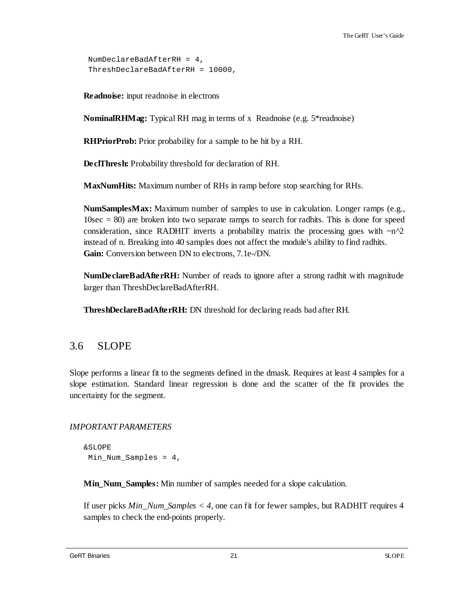NumDeclareBadAfterRH = 4, ThreshDeclareBadAfterRH = 10000,

**Readnoise:** input readnoise in electrons

**NominalRHMag:** Typical RH mag in terms of x Readnoise (e.g. 5\*readnoise)

**RHPriorProb:** Prior probability for a sample to be hit by a RH.

**DeclThresh:** Probability threshold for declaration of RH.

**MaxNumHits:** Maximum number of RHs in ramp before stop searching for RHs.

**NumSamplesMax:** Maximum number of samples to use in calculation. Longer ramps (e.g.,  $10\sec = 80$ ) are broken into two separate ramps to search for radhits. This is done for speed consideration, since RADHIT inverts a probability matrix the processing goes with  $\neg n^2$ instead of n. Breaking into 40 samples does not affect the module's ability to find radhits. **Gain:** Conversion between DN to electrons, 7.1e-/DN.

**NumDeclareBadAfterRH:** Number of reads to ignore after a strong radhit with magnitude larger than ThreshDeclareBadAfterRH.

**ThreshDeclareBadAfterRH:** DN threshold for declaring reads bad after RH.

### <span id="page-20-0"></span>3.6 SLOPE

Slope performs a linear fit to the segments defined in the dmask. Requires at least 4 samples for a slope estimation. Standard linear regression is done and the scatter of the fit provides the uncertainty for the segment.

#### *IMPORTANT PARAMETERS*

```
&SLOPE
Min Num Samples = 4,
```
**Min\_Num\_Samples:** Min number of samples needed for a slope calculation.

If user picks *Min\_Num\_Samples < 4*, one can fit for fewer samples, but RADHIT requires 4 samples to check the end-points properly.

GeRT Binaries 21 SLOPE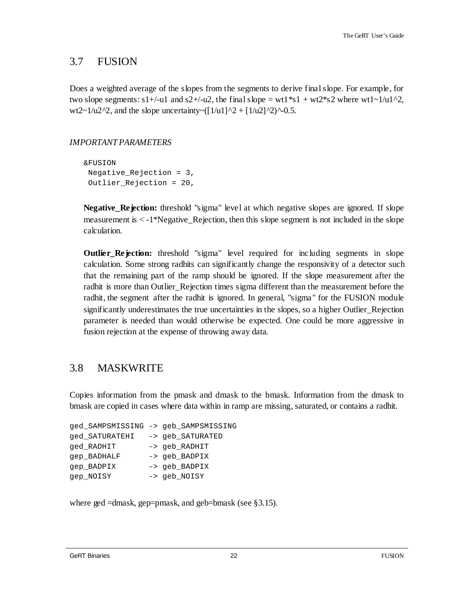### <span id="page-21-0"></span>3.7 FUSION

Does a weighted average of the slopes from the segments to derive final slope. For example, for two slope segments:  $s1+/-u1$  and  $s2+/-u2$ , the final slope = wt1<sup>\*</sup>s1 + wt2<sup>\*</sup>s2 where wt1 $\sim$ 1/u1^2, wt2~1/u2^2, and the slope uncertainty~( $[1/u1]^2 + [1/u2]^2$ )^-0.5.

#### *IMPORTANT PARAMETERS*

```
&FUSION
Negative_Rejection = 3,
Outlier_Rejection = 20,
```
**Negative\_Rejection:** threshold "sigma" level at which negative slopes are ignored. If slope measurement is < -1\*Negative\_Rejection, then this slope segment is not included in the slope calculation.

**Outlier\_Rejection:** threshold "sigma" level required for including segments in slope calculation. Some strong radhits can significantly change the responsivity of a detector such that the remaining part of the ramp should be ignored. If the slope measurement after the radhit is more than Outlier\_Rejection times sigma different than the measurement before the radhit, the segment after the radhit is ignored. In general, "sigma" for the FUSION module significantly underestimates the true uncertainties in the slopes, so a higher Outlier\_Rejection parameter is needed than would otherwise be expected. One could be more aggressive in fusion rejection at the expense of throwing away data.

### <span id="page-21-1"></span>3.8 MASKWRITE

Copies information from the pmask and dmask to the bmask. Information from the dmask to bmask are copied in cases where data within in ramp are missing, saturated, or contains a radhit.

| ged_SAMPSMISSING -> geb_SAMPSMISSING |
|--------------------------------------|
| -> geb_SATURATED                     |
| -> geb RADHIT                        |
| -> geb BADPIX                        |
| -> geb_BADPIX                        |
| -> geb_NOISY                         |
|                                      |

where ged =dmask, gep=pmask, and geb=bmask (see [§3.15\)](#page-29-0).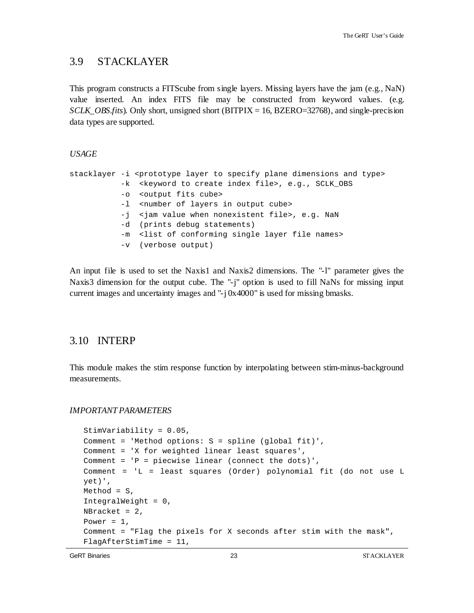### <span id="page-22-0"></span>3.9 STACKLAYER

This program constructs a FITScube from single layers. Missing layers have the jam (e.g., NaN) value inserted. An index FITS file may be constructed from keyword values. (e.g. *SCLK\_OBS.fits*). Only short, unsigned short (BITPIX = 16, BZERO=32768), and single-precision data types are supported.

#### *USAGE*

```
stacklayer -i <prototype layer to specify plane dimensions and type>
           -k <keyword to create index file>, e.g., SCLK_OBS
            -o <output fits cube> 
           -1 <number of layers in output cube>
            -j <jam value when nonexistent file>, e.g. NaN 
            -d (prints debug statements) 
            -m <list of conforming single layer file names> 
            -v (verbose output)
```
An input file is used to set the Naxis1 and Naxis2 dimensions. The "-l" parameter gives the Naxis3 dimension for the output cube. The "-j" option is used to fill NaNs for missing input current images and uncertainty images and "-j 0x4000" is used for missing bmasks.

### <span id="page-22-1"></span>3.10 INTERP

This module makes the stim response function by interpolating between stim-minus-background measurements.

#### *IMPORTANT PARAMETERS*

```
StimVariability = 0.05,
Comment = 'Method options: S = spline (global fit)', 
Comment = 'X for weighted linear least squares',
Comment = 'P = piecwise linear (connect the dots)',
Comment = 'L = least squares (Order) polynomial fit (do not use L 
yet)',
Method = S,
IntegralWeight = 0, 
NBracket = 2,
Power = 1,
Comment = "Flag the pixels for X seconds after stim with the mask",
FlagAfterStimTime = 11,
```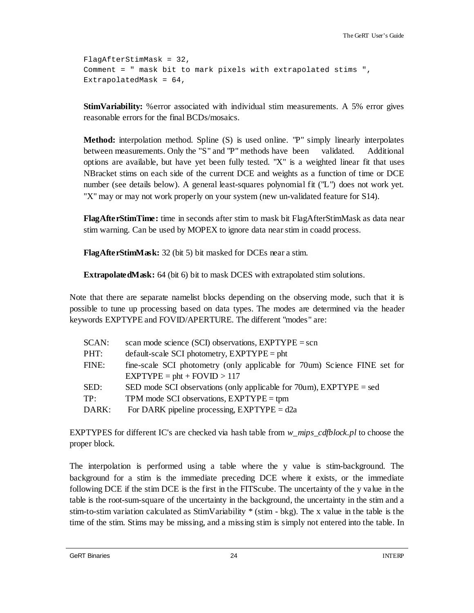```
FlagAfterStimMask = 32,
Comment = " mask bit to mark pixels with extrapolated stims ",
ExtrapolatedMask = 64,
```
**StimVariability:** % error associated with individual stim measurements. A 5% error gives reasonable errors for the final BCDs/mosaics.

**Method:** interpolation method. Spline (S) is used online. "P" simply linearly interpolates between measurements. Only the "S" and "P" methods have been validated. Additional options are available, but have yet been fully tested. "X" is a weighted linear fit that uses NBracket stims on each side of the current DCE and weights as a function of time or DCE number (see details below). A general least-squares polynomial fit ("L") does not work yet. "X" may or may not work properly on your system (new un-validated feature for S14).

**FlagAfterStimTime:** time in seconds after stim to mask bit FlagAfterStimMask as data near stim warning. Can be used by MOPEX to ignore data near stim in coadd process.

**FlagAfterStimMask:** 32 (bit 5) bit masked for DCEs near a stim.

**ExtrapolatedMask:** 64 (bit 6) bit to mask DCES with extrapolated stim solutions.

Note that there are separate namelist blocks depending on the observing mode, such that it is possible to tune up processing based on data types. The modes are determined via the header keywords EXPTYPE and FOVID/APERTURE. The different "modes" are:

| SCAN: | scan mode science (SCI) observations, $EXPTYPE = \text{scn}$               |
|-------|----------------------------------------------------------------------------|
| PHT:  | $default-scale SCI photometry, EXPTYPE = pht$                              |
| FINE: | fine-scale SCI photometry (only applicable for 70 um) Science FINE set for |
|       | $EXPTYPE = pht + FOVID > 117$                                              |
| SED:  | SED mode SCI observations (only applicable for 70 am), $EXPTYPE = sed$     |
| TP:   | TPM mode SCI observations, $EXPTYPE = tpm$                                 |
| DARK: | For DARK pipeline processing, $EXPTYPE = d2a$                              |
|       |                                                                            |

EXPTYPES for different IC's are checked via hash table from *w\_mips\_cdfblock.pl* to choose the proper block.

The interpolation is performed using a table where the y value is stim-background. The background for a stim is the immediate preceding DCE where it exists, or the immediate following DCE if the stim DCE is the first in the FITScube. The uncertainty of the y value in the table is the root-sum-square of the uncertainty in the background, the uncertainty in the stim and a stim-to-stim variation calculated as StimVariability \* (stim - bkg). The x value in the table is the time of the stim. Stims may be missing, and a missing stim is simply not entered into the table. In

GeRT Binaries 24 INTERP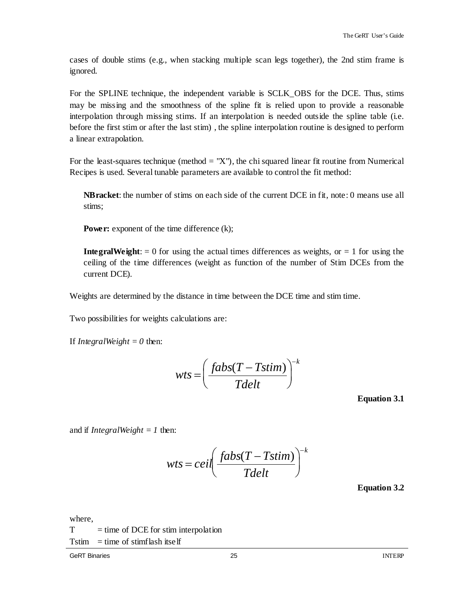cases of double stims (e.g., when stacking multiple scan legs together), the 2nd stim frame is ignored.

For the SPLINE technique, the independent variable is SCLK\_OBS for the DCE. Thus, stims may be missing and the smoothness of the spline fit is relied upon to provide a reasonable interpolation through missing stims. If an interpolation is needed outside the spline table (i.e. before the first stim or after the last stim) , the spline interpolation routine is designed to perform a linear extrapolation.

For the least-squares technique (method  $=$  "X"), the chi squared linear fit routine from Numerical Recipes is used. Several tunable parameters are available to control the fit method:

**NBracket**: the number of stims on each side of the current DCE in fit, note: 0 means use all stims;

**Power:** exponent of the time difference (k);

**IntegralWeight**:  $= 0$  for using the actual times differences as weights, or  $= 1$  for using the ceiling of the time differences (weight as function of the number of Stim DCEs from the current DCE).

Weights are determined by the distance in time between the DCE time and stim time.

Two possibilities for weights calculations are:

If *IntegralWeight = 0* then:

$$
wts = \left(\frac{fabs(T - Tstim)}{Tdelta}\right)^{-k}
$$

**Equation 3.1**

and if *IntegralWeight = 1* then:

$$
wts = ceil\left(\frac{fabs(T - Tstim)}{Tdelt}\right)^{-k}
$$

**Equation 3.2**

where,

 $T = time of DCE for stim interpolation$  $Tstim = time of stimuli ash itself$ 

GeRT Binaries 25 INTERP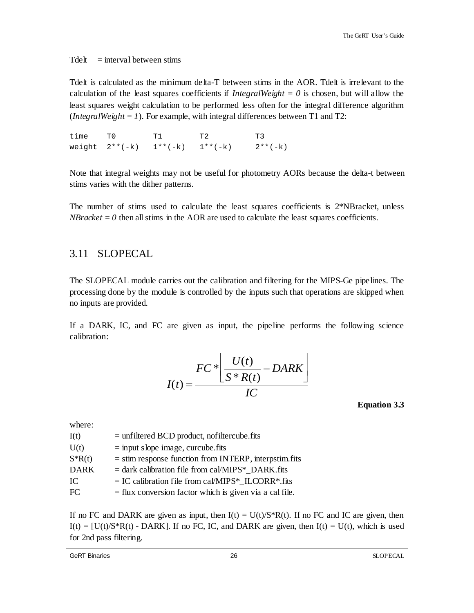$T\text{delt } = \text{interval between stims}$ 

Tdelt is calculated as the minimum delta-T between stims in the AOR. Tdelt is irrelevant to the calculation of the least squares coefficients if  $Integrarkwidth = 0$  is chosen, but will allow the least squares weight calculation to be performed less often for the integral difference algorithm (*IntegralWeight = 1*). For example, with integral differences between T1 and T2:

time T0 T1 T2 T3 weight  $2^{**}(-k)$   $1^{**}(-k)$   $1^{**}(-k)$   $2^{**}(-k)$ 

Note that integral weights may not be useful for photometry AORs because the delta-t between stims varies with the dither patterns.

The number of stims used to calculate the least squares coefficients is  $2*$ NBracket, unless *NBracket*  $= 0$  then all stims in the AOR are used to calculate the least squares coefficients.

### <span id="page-25-0"></span>3.11 SLOPECAL

The SLOPECAL module carries out the calibration and filtering for the MIPS-Ge pipelines. The processing done by the module is controlled by the inputs such that operations are skipped when no inputs are provided.

If a DARK, IC, and FC are given as input, the pipeline performs the following science calibration:

$$
I(t) = \frac{FC \times \left[ \frac{U(t)}{S \times R(t)} - DARK \right]}{IC}
$$

**Equation 3.3**

where:

| I(t)        | $=$ unfiltered BCD product, nofiltercube fits             |
|-------------|-----------------------------------------------------------|
| U(t)        | $=$ input slope image, curcube fits                       |
| $S^*R(t)$   | $=$ stim response function from INTERP, interpstim. fits  |
| <b>DARK</b> | $=$ dark calibration file from cal/MIPS* DARK.fits        |
| IC.         | $=$ IC calibration file from cal/MIPS*_ILCORR*.fits       |
| FC.         | $=$ flux conversion factor which is given via a cal file. |

If no FC and DARK are given as input, then  $I(t) = U(t)/S^*R(t)$ . If no FC and IC are given, then  $I(t) = [U(t)/S^*R(t) - DARK]$ . If no FC, IC, and DARK are given, then  $I(t) = U(t)$ , which is used for 2nd pass filtering.

GeRT Binaries 26 SLOPECAL CHARGES 26 SLOPECAL CHARGES 26 SLOPECAL CHARGES 20 SLOPECAL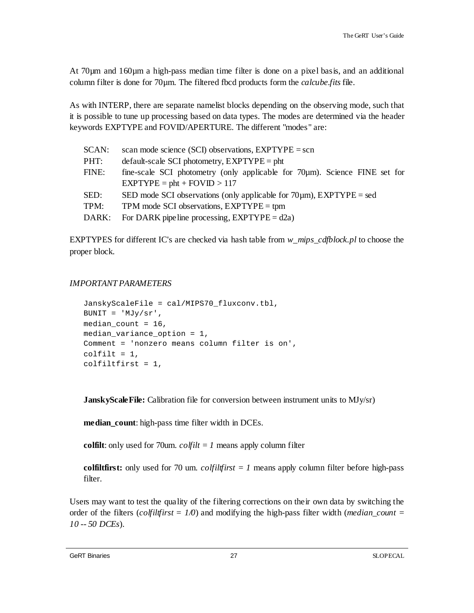At 70µm and 160µm a high-pass median time filter is done on a pixel basis, and an additional column filter is done for 70µm. The filtered fbcd products form the *calcube.fits* file.

As with INTERP, there are separate namelist blocks depending on the observing mode, such that it is possible to tune up processing based on data types. The modes are determined via the header keywords EXPTYPE and FOVID/APERTURE. The different "modes" are:

| SCAN: | scan mode science (SCI) observations, $EXPTYPE = \text{scn}$               |
|-------|----------------------------------------------------------------------------|
| PHT:  | default-scale SCI photometry, $EXPTYPE = \text{pht}$                       |
| FINE: | fine-scale SCI photometry (only applicable for 70µm). Science FINE set for |
|       | $EXPTYPE = \text{pht} + \text{FOVID} > 117$                                |
| SED:  | SED mode SCI observations (only applicable for $70\mu$ m), EXPTYPE = sed   |
| TPM:  | TPM mode SCI observations, $EXPTYPE = tpm$                                 |
| DARK: | For DARK pipeline processing, $EXPTYPE = d2a$ )                            |
|       |                                                                            |

EXPTYPES for different IC's are checked via hash table from *w\_mips\_cdfblock.pl* to choose the proper block.

### *IMPORTANT PARAMETERS*

```
JanskyScaleFile = cal/MIPS70_fluxconv.tbl,
BUNIT = 'MJy/sr',median_count = 16,
median_variance_option = 1,
Comment = 'nonzero means column filter is on',
colfilt = 1,colfiltfirst = 1,
```
**JanskyScaleFile:** Calibration file for conversion between instrument units to MJy/sr)

**median\_count**: high-pass time filter width in DCEs.

**colfilt**: only used for 70 um. *colfilt = 1* means apply column filter

**colfiltfirst:** only used for 70 um. *colfiltfirst* = 1 means apply column filter before high-pass filter.

Users may want to test the quality of the filtering corrections on their own data by switching the order of the filters (*colfiltfirst = 1/0*) and modifying the high-pass filter width (*median\_count = 10 -- 50 DCEs*).

GeRT Binaries 27 SLOPECAL SUPERAL AND THE SECRET SUPERAL SUPERAL SUPERAL SUPERAL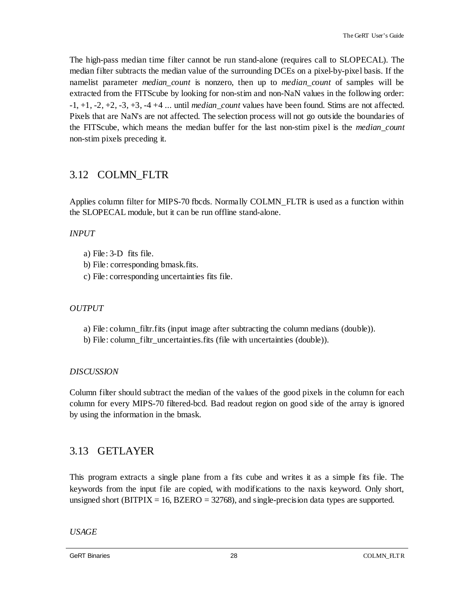The high-pass median time filter cannot be run stand-alone (requires call to SLOPECAL). The median filter subtracts the median value of the surrounding DCEs on a pixel-by-pixel basis. If the namelist parameter *median\_count* is nonzero, then up to *median\_count* of samples will be extracted from the FITScube by looking for non-stim and non-NaN values in the following order:  $-1, +1, -2, +2, -3, +3, -4, +4, \ldots$  until *median* count values have been found. Stims are not affected. Pixels that are NaN's are not affected. The selection process will not go outside the boundaries of the FITScube, which means the median buffer for the last non-stim pixel is the *median\_count* non-stim pixels preceding it.

### <span id="page-27-0"></span>3.12 COLMN\_FLTR

Applies column filter for MIPS-70 fbcds. Normally COLMN\_FLTR is used as a function within the SLOPECAL module, but it can be run offline stand-alone.

*INPUT*

- a) File: 3-D fits file.
- b) File: corresponding bmask.fits.
- c) File: corresponding uncertainties fits file.

#### *OUTPUT*

- a) File: column\_filtr.fits (input image after subtracting the column medians (double)).
- b) File: column\_filtr\_uncertainties.fits (file with uncertainties (double)).

#### *DISCUSSION*

Column filter should subtract the median of the values of the good pixels in the column for each column for every MIPS-70 filtered-bcd. Bad readout region on good side of the array is ignored by using the information in the bmask.

### <span id="page-27-1"></span>3.13 GETLAYER

This program extracts a single plane from a fits cube and writes it as a simple fits file. The keywords from the input file are copied, with modifications to the naxis keyword. Only short, unsigned short ( $BITPIX = 16$ ,  $BZERO = 32768$ ), and single-precision data types are supported.

#### *USAGE*

GeRT Binaries 28 COLMN\_FLTR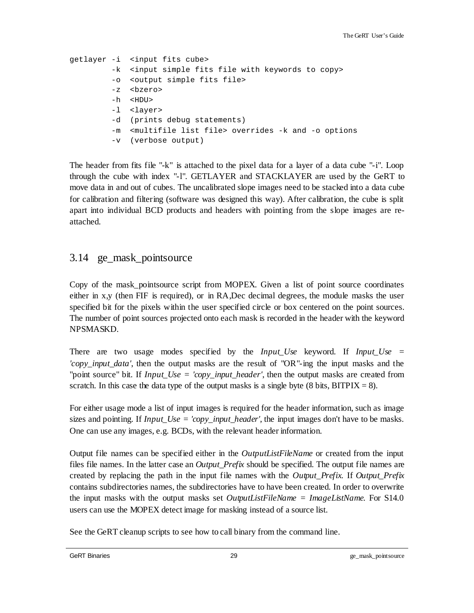```
getlayer -i <input fits cube> 
          -k <input simple fits file with keywords to copy> 
          -o <output simple fits file> 
          -z <bzero> 
          -h <HDU> 
          -l <layer> 
          -d (prints debug statements) 
          -m <multifile list file> overrides -k and -o options 
          -v (verbose output)
```
The header from fits file "-k" is attached to the pixel data for a layer of a data cube "-i". Loop through the cube with index "-l". GETLAYER and STACKLAYER are used by the GeRT to move data in and out of cubes. The uncalibrated slope images need to be stacked into a data cube for calibration and filtering (software was designed this way). After calibration, the cube is split apart into individual BCD products and headers with pointing from the slope images are reattached.

### <span id="page-28-0"></span>3.14 ge\_mask\_pointsource

Copy of the mask\_pointsource script from MOPEX. Given a list of point source coordinates either in x,y (then FIF is required), or in RA,Dec decimal degrees, the module masks the user specified bit for the pixels within the user specified circle or box centered on the point sources. The number of point sources projected onto each mask is recorded in the header with the keyword NPSMASKD.

There are two usage modes specified by the *Input\_Use* keyword. If *Input\_Use = 'copy\_input\_data'*, then the output masks are the result of "OR"-ing the input masks and the "point source" bit. If *Input\_Use = 'copy\_input\_header'*, then the output masks are created from scratch. In this case the data type of the output masks is a single byte  $(8 \text{ bits}, \text{BITPLY} = 8)$ .

For either usage mode a list of input images is required for the header information, such as image sizes and pointing. If *Input\_Use = 'copy\_input\_header'*, the input images don't have to be masks. One can use any images, e.g. BCDs, with the relevant header information.

Output file names can be specified either in the *OutputListFileName* or created from the input files file names. In the latter case an *Output Prefix* should be specified. The output file names are created by replacing the path in the input file names with the *Output\_Prefix*. If *Output\_Prefix* contains subdirectories names, the subdirectories have to have been created. In order to overwrite the input masks with the output masks set *OutputListFileName = ImageListName*. For S14.0 users can use the MOPEX detect image for masking instead of a source list.

See the GeRT cleanup scripts to see how to call binary from the command line.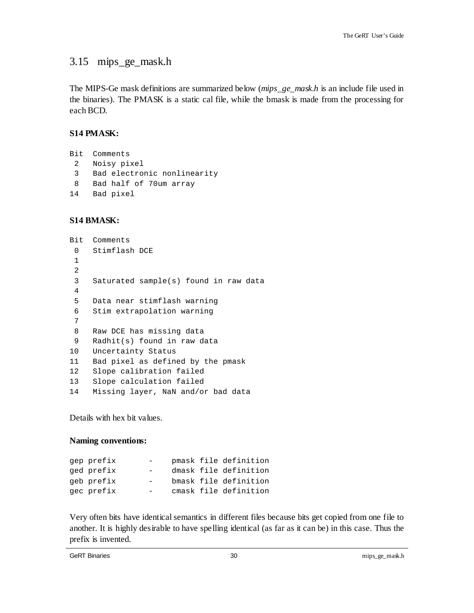### <span id="page-29-0"></span>3.15 mips\_ge\_mask.h

The MIPS-Ge mask definitions are summarized below (*mips\_ge\_mask.h* is an include file used in the binaries). The PMASK is a static cal file, while the bmask is made from the processing for each BCD.

#### **S14 PMASK:**

```
Bit Comments
2 Noisy pixel
3 Bad electronic nonlinearity
8 Bad half of 70um array 
14 Bad pixel
```
#### **S14 BMASK:**

```
Bit Comments
 0 Stimflash DCE
 1 
 \overline{2}3 Saturated sample(s) found in raw data
 4 
 5 Data near stimflash warning
 6 Stim extrapolation warning
 7 
 8 Raw DCE has missing data
 9 Radhit(s) found in raw data
10 Uncertainty Status 
11 Bad pixel as defined by the pmask
12 Slope calibration failed
13 Slope calculation failed
14 Missing layer, NaN and/or bad data
```
Details with hex bit values.

#### **Naming conventions:**

| qep prefix | $ -$ |  | pmask file definition |
|------------|------|--|-----------------------|
| ged prefix | $ -$ |  | dmask file definition |
| qeb prefix | $ -$ |  | bmask file definition |
| gec prefix |      |  | cmask file definition |

Very often bits have identical semantics in different files because bits get copied from one file to another. It is highly desirable to have spelling identical (as far as it can be) in this case. Thus the prefix is invented.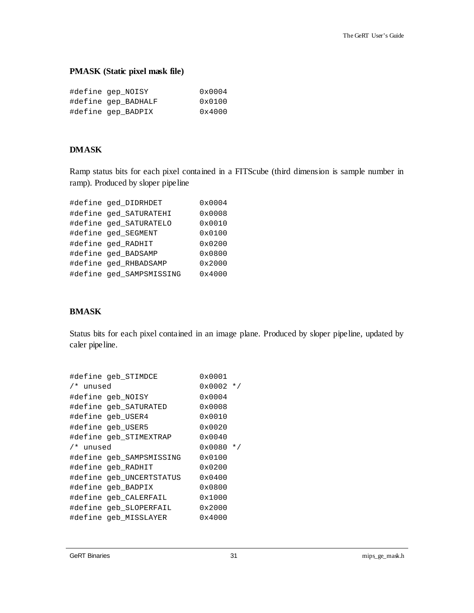### **PMASK (Static pixel mask file)**

| #define gep NOISY   | $0 \times 0004$ |
|---------------------|-----------------|
| #define gep BADHALF | $0 \times 0100$ |
| #define gep BADPIX  | $0 \times 4000$ |

### **DMASK**

Ramp status bits for each pixel contained in a FITScube (third dimension is sample number in ramp). Produced by sloper pipeline

| #define ged DIDRHDET     | 0x0004 |
|--------------------------|--------|
| #define ged_SATURATEHI   | 0x0008 |
| #define ged SATURATELO   | 0x0010 |
| #define ged SEGMENT      | 0x0100 |
| #define ged RADHIT       | 0x0200 |
| #define ged BADSAMP      | 0x0800 |
| #define ged RHBADSAMP    | 0x2000 |
| #define ged SAMPSMISSING | 0x4000 |
|                          |        |

#### **BMASK**

Status bits for each pixel contained in an image plane. Produced by sloper pipeline, updated by caler pipeline.

|           | #define qeb STIMDCE      | 0x0001          |  |
|-----------|--------------------------|-----------------|--|
| /* unused |                          | $0x0002$ */     |  |
|           | #define geb NOISY        | 0x0004          |  |
|           | #define geb_SATURATED    | 0x0008          |  |
|           | #define geb USER4        | 0x0010          |  |
|           | #define geb USER5        | $0 \times 0020$ |  |
|           | #define geb STIMEXTRAP   | 0x0040          |  |
| /* unused |                          | $0x0080$ */     |  |
|           | #define geb SAMPSMISSING | 0x0100          |  |
|           | #define qeb RADHIT       | $0 \times 0200$ |  |
|           | #define geb_UNCERTSTATUS | 0x0400          |  |
|           | #define qeb BADPIX       | 0x0800          |  |
|           | #define geb CALERFAIL    | 0x1000          |  |
|           | #define geb_SLOPERFAIL   | 0x2000          |  |
|           | #define geb MISSLAYER    | 0x4000          |  |
|           |                          |                 |  |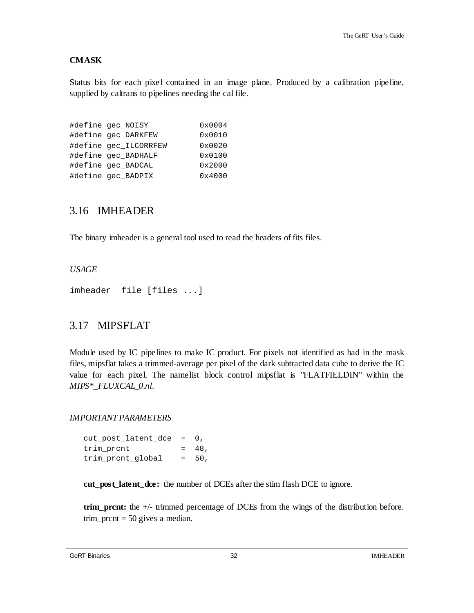#### **CMASK**

Status bits for each pixel contained in an image plane. Produced by a calibration pipeline, supplied by caltrans to pipelines needing the cal file.

#define gec\_NOISY 0x0004 #define gec\_DARKFEW 0x0010 #define gec\_ILCORRFEW 0x0020 #define gec\_BADHALF 0x0100 #define gec\_BADCAL 0x2000 #define gec\_BADPIX

### <span id="page-31-0"></span>3.16 IMHEADER

The binary imheader is a general tool used to read the headers of fits files.

#### *USAGE*

imheader file [files ...]

### <span id="page-31-1"></span>3.17 MIPSFLAT

Module used by IC pipelines to make IC product. For pixels not identified as bad in the mask files, mipsflat takes a trimmed-average per pixel of the dark subtracted data cube to derive the IC value for each pixel. The namelist block control mipsflat is "FLATFIELDIN" within the *MIPS\*\_FLUXCAL\_0.nl*.

#### *IMPORTANT PARAMETERS*

```
cut_post_latent_dce = 0,
trim prcnt = 48,
trim_prcnt_global = 50,
```
**cut\_post\_latent\_dce:** the number of DCEs after the stim flash DCE to ignore.

**trim\_prcnt:** the +/- trimmed percentage of DCEs from the wings of the distribution before. trim\_prcnt =  $50$  gives a median.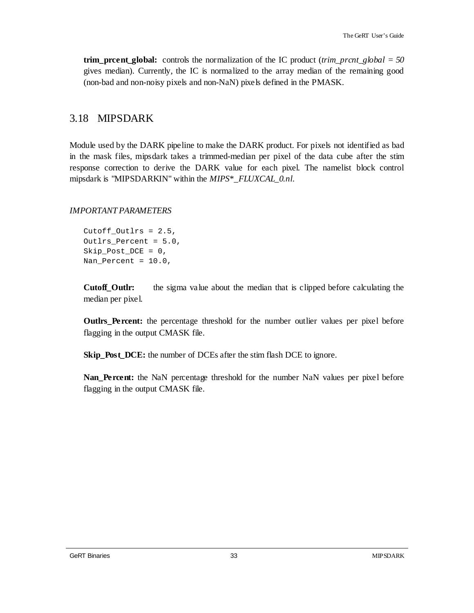**trim\_prcent\_global:** controls the normalization of the IC product (*trim\_prcnt\_global = 50* gives median). Currently, the IC is normalized to the array median of the remaining good (non-bad and non-noisy pixels and non-NaN) pixels defined in the PMASK.

### <span id="page-32-0"></span>3.18 MIPSDARK

Module used by the DARK pipeline to make the DARK product. For pixels not identified as bad in the mask files, mipsdark takes a trimmed-median per pixel of the data cube after the stim response correction to derive the DARK value for each pixel. The namelist block control mipsdark is "MIPSDARKIN" within the *MIPS\*\_FLUXCAL\_0.nl*.

*IMPORTANT PARAMETERS*

```
Cutoff Outlrs = 2.5,
Outlrs_Percent = 5.0,
Skip_Post_DCE = 0, 
Nan Percent = 10.0,
```
**Cutoff\_Outlr:** the sigma value about the median that is clipped before calculating the median per pixel.

**Outlrs\_Percent:** the percentage threshold for the number outlier values per pixel before flagging in the output CMASK file.

**Skip\_Post\_DCE:** the number of DCEs after the stim flash DCE to ignore.

**Nan\_Percent:** the NaN percentage threshold for the number NaN values per pixel before flagging in the output CMASK file.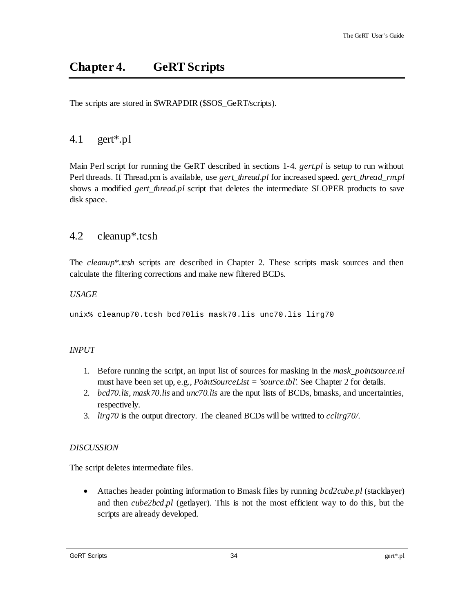# <span id="page-33-0"></span>**Chapter 4. GeRT Scripts**

The scripts are stored in \$WRAPDIR (\$SOS\_GeRT/scripts).

### <span id="page-33-1"></span>4.1 gert\*.pl

Main Perl script for running the GeRT described in sections 1-4. *gert.pl* is setup to run without Perl threads. If Thread.pm is available, use *gert\_thread.pl* for increased speed. *gert\_thread\_rm.pl* shows a modified *gert\_thread.pl* script that deletes the intermediate SLOPER products to save disk space.

### <span id="page-33-2"></span>4.2 cleanup\*.tcsh

The *cleanup\*.tcsh* scripts are described in [Chapter 2.](#page-13-0) These scripts mask sources and then calculate the filtering corrections and make new filtered BCDs.

### *USAGE*

unix% cleanup70.tcsh bcd70lis mask70.lis unc70.lis lirg70

#### *INPUT*

- 1. Before running the script, an input list of sources for masking in the *mask\_pointsource.nl* must have been set up, e.g., *PointSourceList = 'source.tbl'.* See [Chapter 2](#page-13-0) for details.
- 2. *bcd70.lis*, *mask70.lis* and *unc70.lis* are the nput lists of BCDs, bmasks, and uncertainties, respectively.
- 3. *lirg70* is the output directory. The cleaned BCDs will be writted to *cclirg70/*.

### *DISCUSSION*

The script deletes intermediate files.

• Attaches header pointing information to Bmask files by running *bcd2cube.pl* (stacklayer) and then *cube2bcd.pl* (getlayer). This is not the most efficient way to do this, but the scripts are already developed.

GeRT Scripts 34 gert\*.pl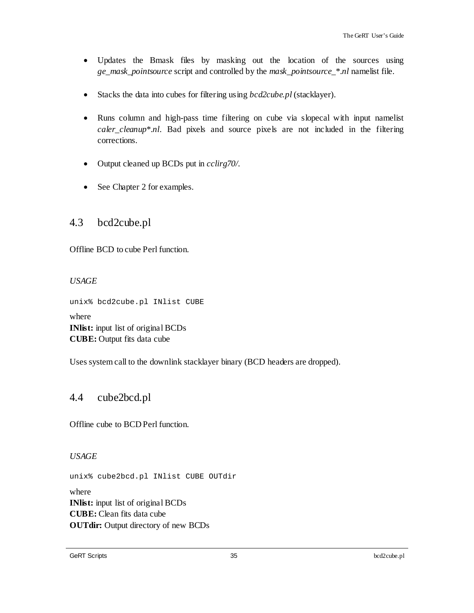- Updates the Bmask files by masking out the location of the sources using *ge\_mask\_pointsource* script and controlled by the *mask\_pointsource\_\*.nl* namelist file.
- Stacks the data into cubes for filtering using *bcd2cube.pl* (stacklayer).
- Runs column and high-pass time filtering on cube via slopecal with input namelist *caler\_cleanup\*.nl*. Bad pixels and source pixels are not included in the filtering corrections.
- Output cleaned up BCDs put in *cclirg70/*.
- Se[e Chapter 2](#page-13-0) for examples.

### <span id="page-34-0"></span>4.3 bcd2cube.pl

Offline BCD to cube Perl function.

### *USAGE*

unix% bcd2cube.pl INlist CUBE

where **INlist:** input list of original BCDs **CUBE:** Output fits data cube

Uses system call to the downlink stacklayer binary (BCD headers are dropped).

### <span id="page-34-1"></span>4.4 cube2bcd.pl

Offline cube to BCD Perl function.

#### *USAGE*

unix% cube2bcd.pl INlist CUBE OUTdir

where **INlist:** input list of original BCDs **CUBE:** Clean fits data cube **OUTdir:** Output directory of new BCDs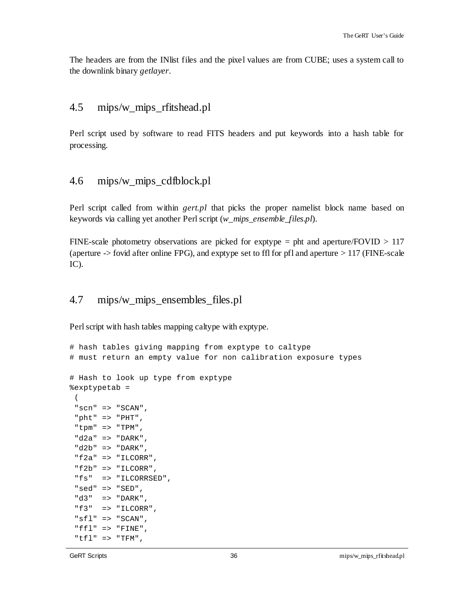The headers are from the INlist files and the pixel values are from CUBE; uses a system call to the downlink binary *getlayer*.

### <span id="page-35-0"></span>4.5 mips/w\_mips\_rfitshead.pl

Perl script used by software to read FITS headers and put keywords into a hash table for processing.

### <span id="page-35-1"></span>4.6 mips/w\_mips\_cdfblock.pl

Perl script called from within *gert.pl* that picks the proper namelist block name based on keywords via calling yet another Perl script (*w\_mips\_ensemble\_files.pl*).

FINE-scale photometry observations are picked for exptype = pht and aperture/FOVID > 117 (aperture  $\sim$  fovid after online FPG), and exptype set to ffl for pfl and aperture  $> 117$  (FINE-scale IC).

### <span id="page-35-2"></span>4.7 mips/w\_mips\_ensembles\_files.pl

Perl script with hash tables mapping caltype with exptype.

```
# hash tables giving mapping from exptype to caltype
# must return an empty value for non calibration exposure types
# Hash to look up type from exptype
%exptypetab =
 (
 "scn" => "SCAN",
 "pht" => "PHT",
 "tpm" => "TPM",
 "d2a" => "DARK",
 "d2b" => "DARK",
 "f2a" => "ILCORR",
 "f2b" => "ILCORR",
 "fs" => "ILCORRSED",
 "sed" => "SED",
 "d3" => "DARK",
 "f3" => "ILCORR","sfl" => "SCAN",
 "ffl" => "FINE",
 "tfl" => "TFM",
```